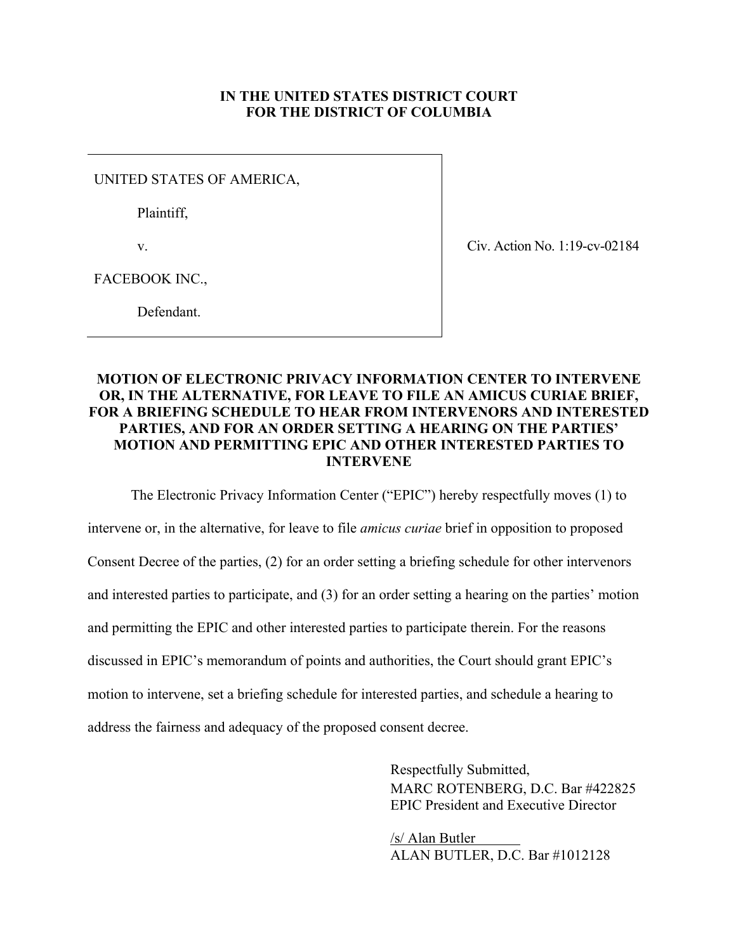# **IN THE UNITED STATES DISTRICT COURT FOR THE DISTRICT OF COLUMBIA**

UNITED STATES OF AMERICA,

Plaintiff,

v.

Civ. Action No. 1:19-cv-02184

FACEBOOK INC.,

Defendant.

# **MOTION OF ELECTRONIC PRIVACY INFORMATION CENTER TO INTERVENE OR, IN THE ALTERNATIVE, FOR LEAVE TO FILE AN AMICUS CURIAE BRIEF, FOR A BRIEFING SCHEDULE TO HEAR FROM INTERVENORS AND INTERESTED PARTIES, AND FOR AN ORDER SETTING A HEARING ON THE PARTIES' MOTION AND PERMITTING EPIC AND OTHER INTERESTED PARTIES TO INTERVENE**

The Electronic Privacy Information Center ("EPIC") hereby respectfully moves (1) to

intervene or, in the alternative, for leave to file *amicus curiae* brief in opposition to proposed Consent Decree of the parties, (2) for an order setting a briefing schedule for other intervenors and interested parties to participate, and (3) for an order setting a hearing on the parties' motion and permitting the EPIC and other interested parties to participate therein. For the reasons discussed in EPIC's memorandum of points and authorities, the Court should grant EPIC's motion to intervene, set a briefing schedule for interested parties, and schedule a hearing to address the fairness and adequacy of the proposed consent decree.

> Respectfully Submitted, MARC ROTENBERG, D.C. Bar #422825 EPIC President and Executive Director

/s/ Alan Butler ALAN BUTLER, D.C. Bar #1012128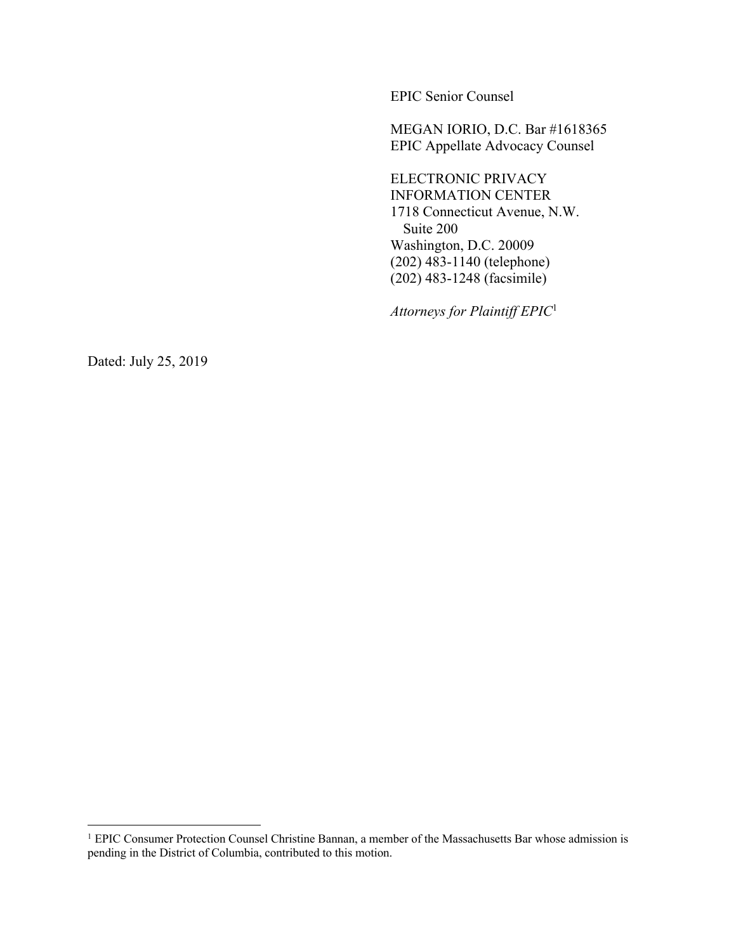EPIC Senior Counsel

MEGAN IORIO, D.C. Bar #1618365 EPIC Appellate Advocacy Counsel

ELECTRONIC PRIVACY INFORMATION CENTER 1718 Connecticut Avenue, N.W. Suite 200 Washington, D.C. 20009 (202) 483-1140 (telephone) (202) 483-1248 (facsimile)

*Attorneys for Plaintiff EPIC*<sup>1</sup>

Dated: July 25, 2019

<sup>&</sup>lt;sup>1</sup> EPIC Consumer Protection Counsel Christine Bannan, a member of the Massachusetts Bar whose admission is pending in the District of Columbia, contributed to this motion.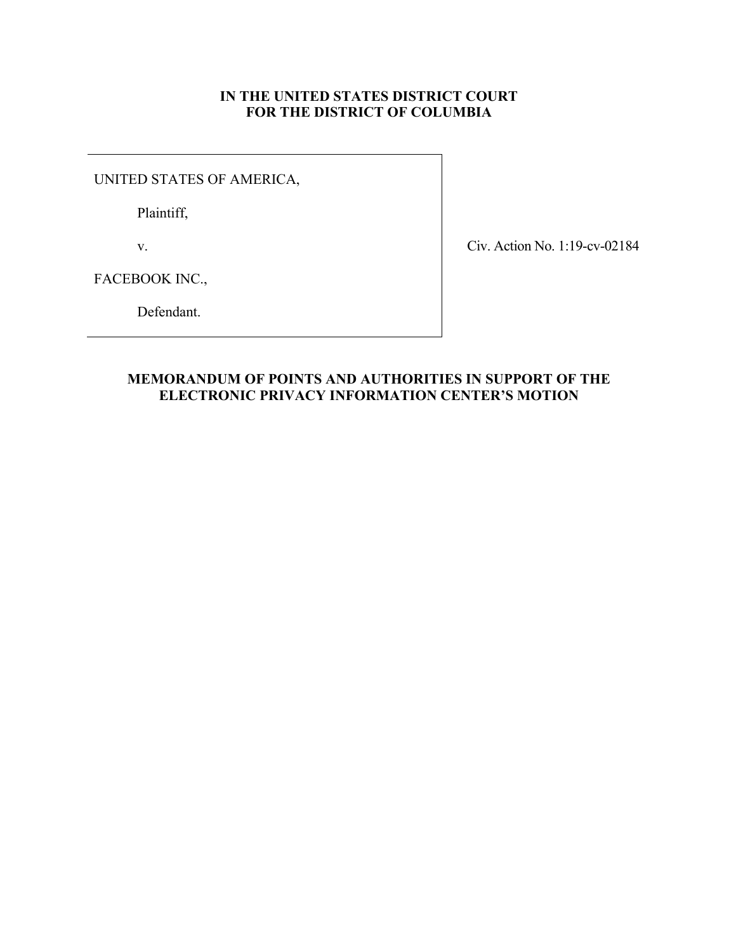# **IN THE UNITED STATES DISTRICT COURT FOR THE DISTRICT OF COLUMBIA**

UNITED STATES OF AMERICA,

Plaintiff,

v.

Civ. Action No. 1:19-cv-02184

FACEBOOK INC.,

Defendant.

# **MEMORANDUM OF POINTS AND AUTHORITIES IN SUPPORT OF THE ELECTRONIC PRIVACY INFORMATION CENTER'S MOTION**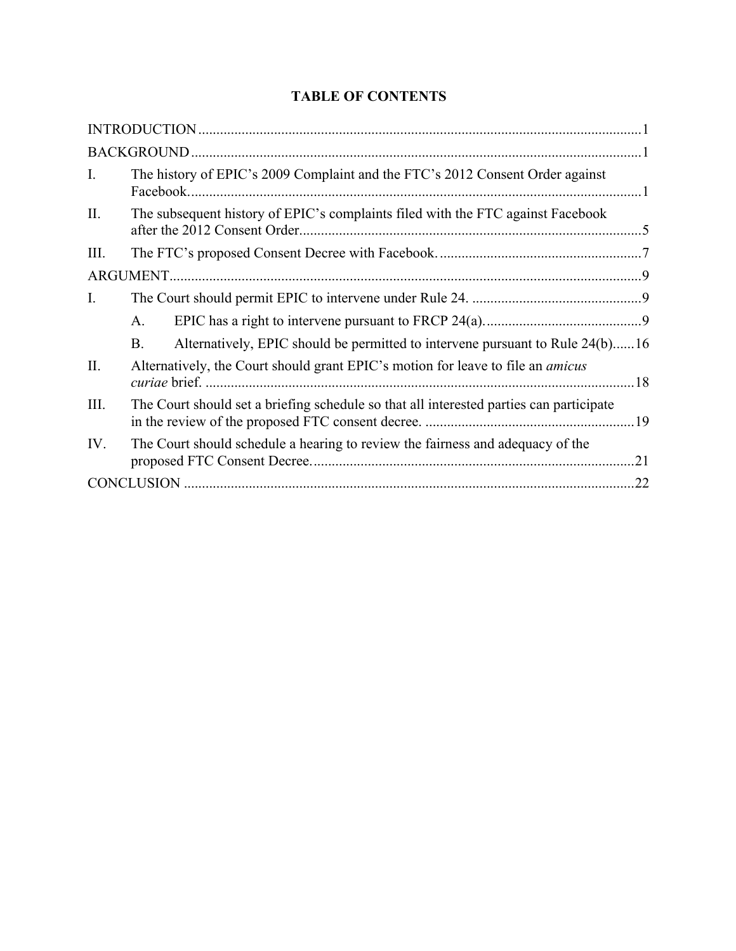# **TABLE OF CONTENTS**

| I.   | The history of EPIC's 2009 Complaint and the FTC's 2012 Consent Order against              |  |
|------|--------------------------------------------------------------------------------------------|--|
| II.  | The subsequent history of EPIC's complaints filed with the FTC against Facebook            |  |
| III. |                                                                                            |  |
|      |                                                                                            |  |
| Ι.   |                                                                                            |  |
|      | A.                                                                                         |  |
|      | Alternatively, EPIC should be permitted to intervene pursuant to Rule 24(b)16<br><b>B.</b> |  |
| II.  | Alternatively, the Court should grant EPIC's motion for leave to file an <i>amicus</i>     |  |
| III. | The Court should set a briefing schedule so that all interested parties can participate    |  |
| IV.  | The Court should schedule a hearing to review the fairness and adequacy of the             |  |
|      |                                                                                            |  |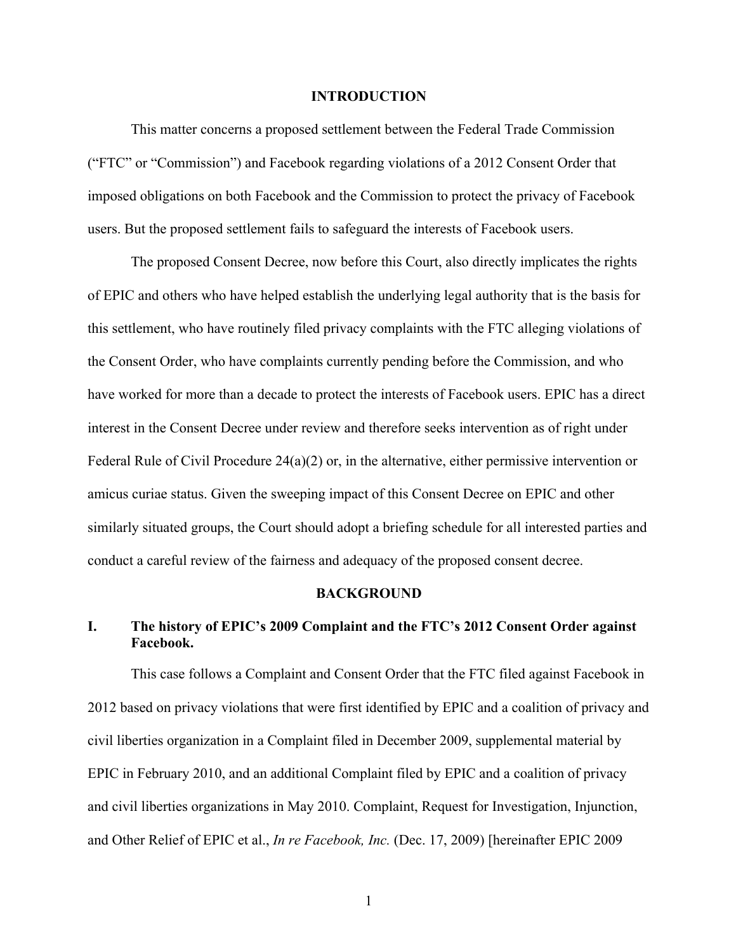#### **INTRODUCTION**

This matter concerns a proposed settlement between the Federal Trade Commission ("FTC" or "Commission") and Facebook regarding violations of a 2012 Consent Order that imposed obligations on both Facebook and the Commission to protect the privacy of Facebook users. But the proposed settlement fails to safeguard the interests of Facebook users.

The proposed Consent Decree, now before this Court, also directly implicates the rights of EPIC and others who have helped establish the underlying legal authority that is the basis for this settlement, who have routinely filed privacy complaints with the FTC alleging violations of the Consent Order, who have complaints currently pending before the Commission, and who have worked for more than a decade to protect the interests of Facebook users. EPIC has a direct interest in the Consent Decree under review and therefore seeks intervention as of right under Federal Rule of Civil Procedure 24(a)(2) or, in the alternative, either permissive intervention or amicus curiae status. Given the sweeping impact of this Consent Decree on EPIC and other similarly situated groups, the Court should adopt a briefing schedule for all interested parties and conduct a careful review of the fairness and adequacy of the proposed consent decree.

#### **BACKGROUND**

# **I. The history of EPIC's 2009 Complaint and the FTC's 2012 Consent Order against Facebook.**

This case follows a Complaint and Consent Order that the FTC filed against Facebook in 2012 based on privacy violations that were first identified by EPIC and a coalition of privacy and civil liberties organization in a Complaint filed in December 2009, supplemental material by EPIC in February 2010, and an additional Complaint filed by EPIC and a coalition of privacy and civil liberties organizations in May 2010. Complaint, Request for Investigation, Injunction, and Other Relief of EPIC et al., *In re Facebook, Inc.* (Dec. 17, 2009) [hereinafter EPIC 2009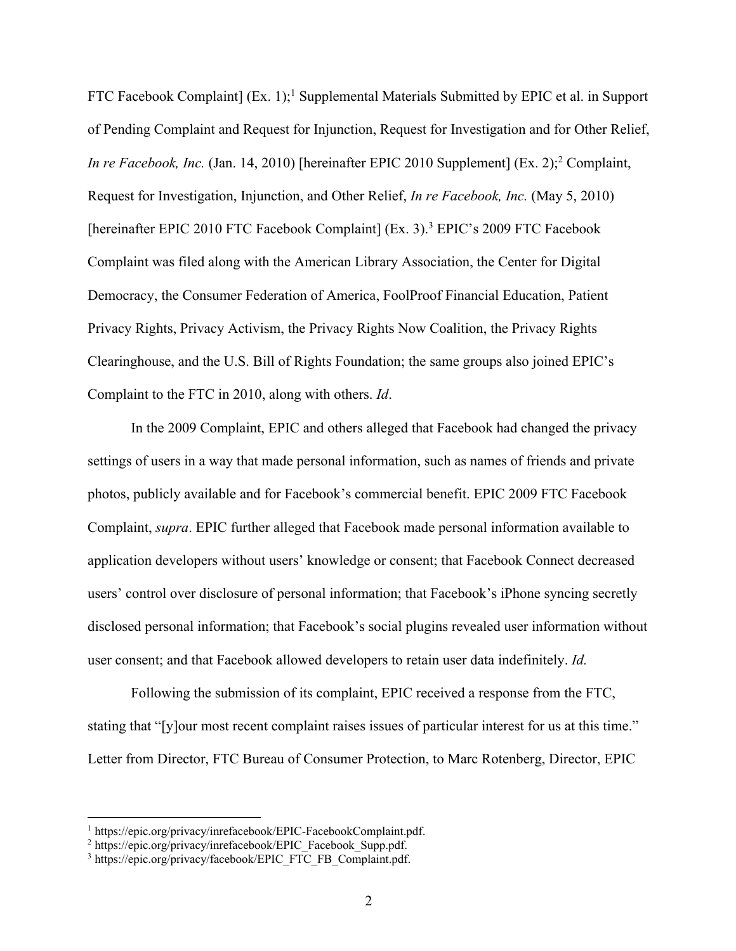FTC Facebook Complaint] (Ex. 1);<sup>1</sup> Supplemental Materials Submitted by EPIC et al. in Support of Pending Complaint and Request for Injunction, Request for Investigation and for Other Relief, *In re Facebook, Inc.* (Jan. 14, 2010) [hereinafter EPIC 2010 Supplement] (Ex. 2); <sup>2</sup> Complaint, Request for Investigation, Injunction, and Other Relief, *In re Facebook, Inc.* (May 5, 2010) [hereinafter EPIC 2010 FTC Facebook Complaint] (Ex. 3).<sup>3</sup> EPIC's 2009 FTC Facebook Complaint was filed along with the American Library Association, the Center for Digital Democracy, the Consumer Federation of America, FoolProof Financial Education, Patient Privacy Rights, Privacy Activism, the Privacy Rights Now Coalition, the Privacy Rights Clearinghouse, and the U.S. Bill of Rights Foundation; the same groups also joined EPIC's Complaint to the FTC in 2010, along with others. *Id*.

In the 2009 Complaint, EPIC and others alleged that Facebook had changed the privacy settings of users in a way that made personal information, such as names of friends and private photos, publicly available and for Facebook's commercial benefit. EPIC 2009 FTC Facebook Complaint, *supra*. EPIC further alleged that Facebook made personal information available to application developers without users' knowledge or consent; that Facebook Connect decreased users' control over disclosure of personal information; that Facebook's iPhone syncing secretly disclosed personal information; that Facebook's social plugins revealed user information without user consent; and that Facebook allowed developers to retain user data indefinitely. *Id.*

Following the submission of its complaint, EPIC received a response from the FTC, stating that "[y]our most recent complaint raises issues of particular interest for us at this time." Letter from Director, FTC Bureau of Consumer Protection, to Marc Rotenberg, Director, EPIC

<sup>&</sup>lt;sup>1</sup> https://epic.org/privacy/inrefacebook/EPIC-FacebookComplaint.pdf.<br>
<sup>2</sup> https://epic.org/privacy/inrefacebook/EPIC\_Facebook\_Supp.pdf. 3 https://epic.org/privacy/facebook/EPIC\_FTC\_FB\_Complaint.pdf.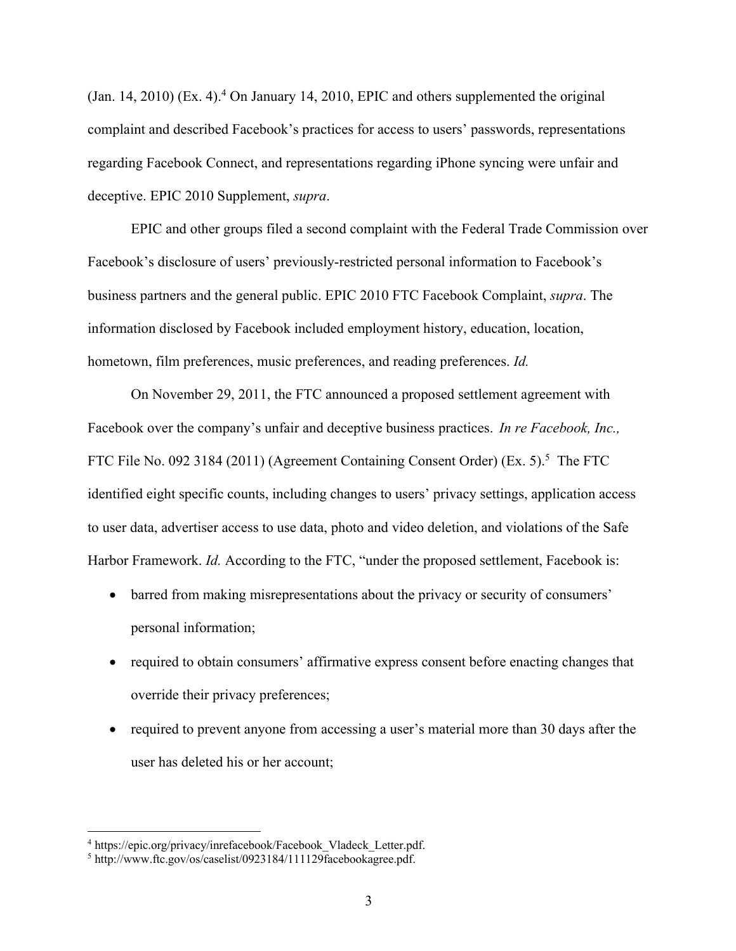(Jan. 14, 2010) (Ex. 4). <sup>4</sup> On January 14, 2010, EPIC and others supplemented the original complaint and described Facebook's practices for access to users' passwords, representations regarding Facebook Connect, and representations regarding iPhone syncing were unfair and deceptive. EPIC 2010 Supplement, *supra*.

EPIC and other groups filed a second complaint with the Federal Trade Commission over Facebook's disclosure of users' previously-restricted personal information to Facebook's business partners and the general public. EPIC 2010 FTC Facebook Complaint, *supra*. The information disclosed by Facebook included employment history, education, location, hometown, film preferences, music preferences, and reading preferences. *Id.*

On November 29, 2011, the FTC announced a proposed settlement agreement with Facebook over the company's unfair and deceptive business practices. *In re Facebook, Inc.,*  FTC File No. 092 3184 (2011) (Agreement Containing Consent Order) (Ex. 5).<sup>5</sup> The FTC identified eight specific counts, including changes to users' privacy settings, application access to user data, advertiser access to use data, photo and video deletion, and violations of the Safe Harbor Framework. *Id.* According to the FTC, "under the proposed settlement, Facebook is:

- barred from making misrepresentations about the privacy or security of consumers' personal information;
- required to obtain consumers' affirmative express consent before enacting changes that override their privacy preferences;
- required to prevent anyone from accessing a user's material more than 30 days after the user has deleted his or her account;

<sup>&</sup>lt;sup>4</sup> https://epic.org/privacy/inrefacebook/Facebook\_Vladeck\_Letter.pdf.<br><sup>5</sup> http://www.ftc.gov/os/caselist/0923184/111129facebookagree.pdf.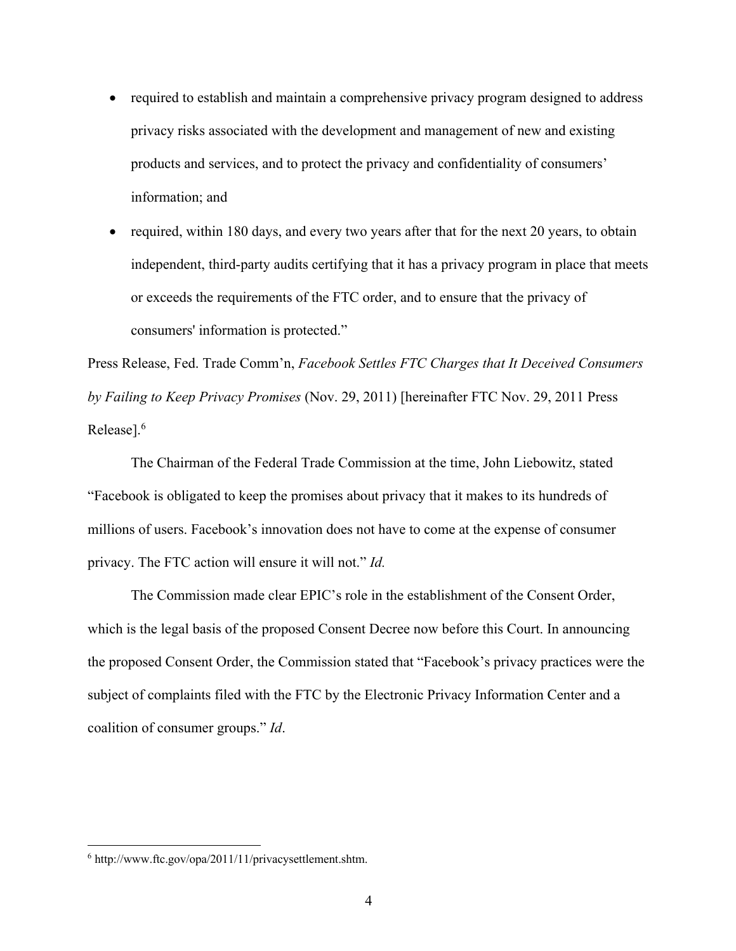- required to establish and maintain a comprehensive privacy program designed to address privacy risks associated with the development and management of new and existing products and services, and to protect the privacy and confidentiality of consumers' information; and
- required, within 180 days, and every two years after that for the next 20 years, to obtain independent, third-party audits certifying that it has a privacy program in place that meets or exceeds the requirements of the FTC order, and to ensure that the privacy of consumers' information is protected."

Press Release, Fed. Trade Comm'n, *Facebook Settles FTC Charges that It Deceived Consumers by Failing to Keep Privacy Promises* (Nov. 29, 2011) [hereinafter FTC Nov. 29, 2011 Press Release]. 6

The Chairman of the Federal Trade Commission at the time, John Liebowitz, stated "Facebook is obligated to keep the promises about privacy that it makes to its hundreds of millions of users. Facebook's innovation does not have to come at the expense of consumer privacy. The FTC action will ensure it will not." *Id.*

The Commission made clear EPIC's role in the establishment of the Consent Order, which is the legal basis of the proposed Consent Decree now before this Court. In announcing the proposed Consent Order, the Commission stated that "Facebook's privacy practices were the subject of complaints filed with the FTC by the Electronic Privacy Information Center and a coalition of consumer groups." *Id*.

<sup>6</sup> http://www.ftc.gov/opa/2011/11/privacysettlement.shtm.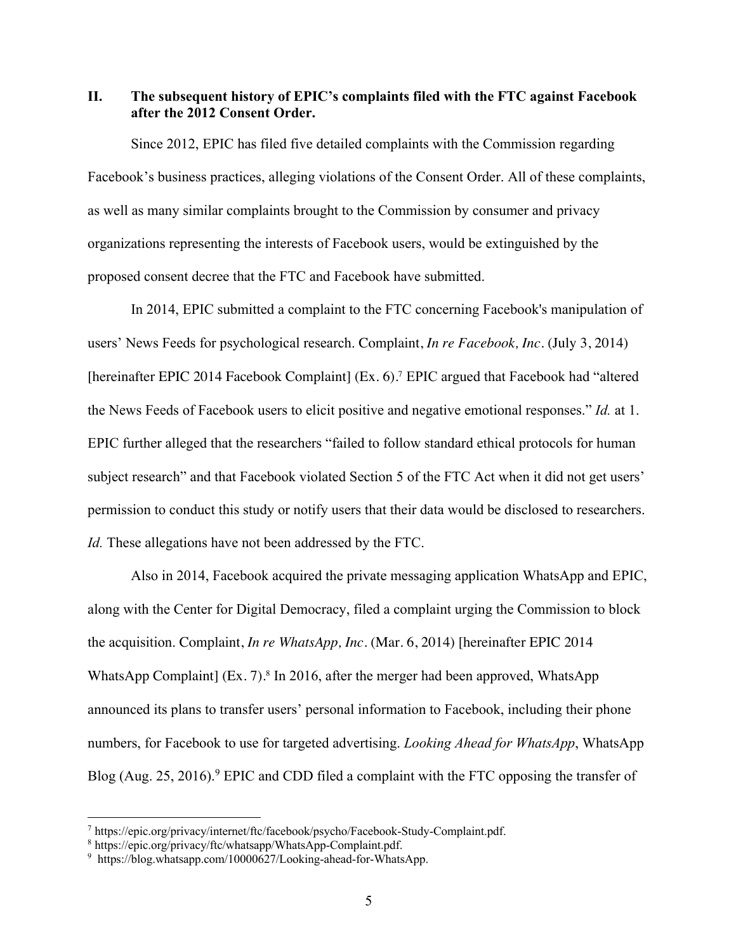# **II. The subsequent history of EPIC's complaints filed with the FTC against Facebook after the 2012 Consent Order.**

Since 2012, EPIC has filed five detailed complaints with the Commission regarding Facebook's business practices, alleging violations of the Consent Order. All of these complaints, as well as many similar complaints brought to the Commission by consumer and privacy organizations representing the interests of Facebook users, would be extinguished by the proposed consent decree that the FTC and Facebook have submitted.

In 2014, EPIC submitted a complaint to the FTC concerning Facebook's manipulation of users' News Feeds for psychological research. Complaint, *In re Facebook, Inc.* (July 3, 2014) [hereinafter EPIC 2014 Facebook Complaint] (Ex. 6).<sup>7</sup> EPIC argued that Facebook had "altered the News Feeds of Facebook users to elicit positive and negative emotional responses." *Id.* at 1. EPIC further alleged that the researchers "failed to follow standard ethical protocols for human subject research" and that Facebook violated Section 5 of the FTC Act when it did not get users' permission to conduct this study or notify users that their data would be disclosed to researchers. *Id.* These allegations have not been addressed by the FTC.

Also in 2014, Facebook acquired the private messaging application WhatsApp and EPIC, along with the Center for Digital Democracy, filed a complaint urging the Commission to block the acquisition. Complaint, *In re WhatsApp, Inc.* (Mar. 6, 2014) [hereinafter EPIC 2014 WhatsApp Complaint] (Ex. 7). <sup>8</sup> In 2016, after the merger had been approved, WhatsApp announced its plans to transfer users' personal information to Facebook, including their phone numbers, for Facebook to use for targeted advertising. *Looking Ahead for WhatsApp*, WhatsApp Blog (Aug. 25, 2016).<sup>9</sup> EPIC and CDD filed a complaint with the FTC opposing the transfer of

<sup>7</sup> https://epic.org/privacy/internet/ftc/facebook/psycho/Facebook-Study-Complaint.pdf.

<sup>8</sup> https://epic.org/privacy/ftc/whatsapp/WhatsApp-Complaint.pdf.

<sup>&</sup>lt;sup>9</sup> https://blog.whatsapp.com/10000627/Looking-ahead-for-WhatsApp.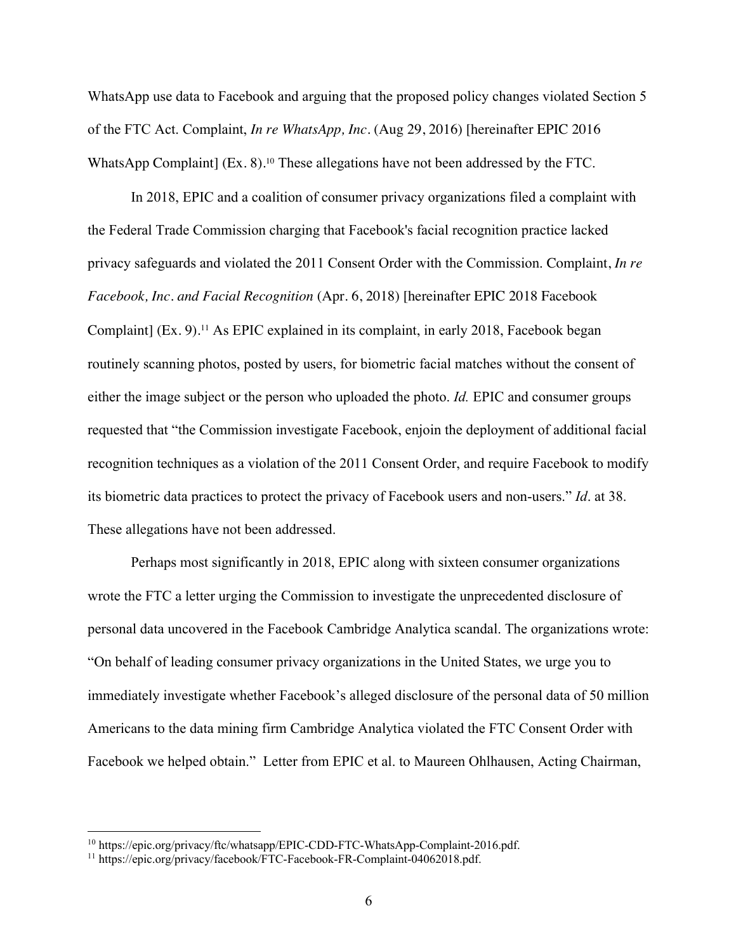WhatsApp use data to Facebook and arguing that the proposed policy changes violated Section 5 of the FTC Act. Complaint, *In re WhatsApp, Inc.* (Aug 29, 2016) [hereinafter EPIC 2016 WhatsApp Complaint] (Ex. 8). <sup>10</sup> These allegations have not been addressed by the FTC.

In 2018, EPIC and a coalition of consumer privacy organizations filed a complaint with the Federal Trade Commission charging that Facebook's facial recognition practice lacked privacy safeguards and violated the 2011 Consent Order with the Commission. Complaint, *In re Facebook, Inc. and Facial Recognition* (Apr. 6, 2018) [hereinafter EPIC 2018 Facebook Complaint] (Ex. 9). <sup>11</sup> As EPIC explained in its complaint, in early 2018, Facebook began routinely scanning photos, posted by users, for biometric facial matches without the consent of either the image subject or the person who uploaded the photo. *Id.* EPIC and consumer groups requested that "the Commission investigate Facebook, enjoin the deployment of additional facial recognition techniques as a violation of the 2011 Consent Order, and require Facebook to modify its biometric data practices to protect the privacy of Facebook users and non-users." *Id*. at 38. These allegations have not been addressed.

Perhaps most significantly in 2018, EPIC along with sixteen consumer organizations wrote the FTC a letter urging the Commission to investigate the unprecedented disclosure of personal data uncovered in the Facebook Cambridge Analytica scandal. The organizations wrote: "On behalf of leading consumer privacy organizations in the United States, we urge you to immediately investigate whether Facebook's alleged disclosure of the personal data of 50 million Americans to the data mining firm Cambridge Analytica violated the FTC Consent Order with Facebook we helped obtain." Letter from EPIC et al. to Maureen Ohlhausen, Acting Chairman,

<sup>10</sup> https://epic.org/privacy/ftc/whatsapp/EPIC-CDD-FTC-WhatsApp-Complaint-2016.pdf.

<sup>&</sup>lt;sup>11</sup> https://epic.org/privacy/facebook/FTC-Facebook-FR-Complaint-04062018.pdf.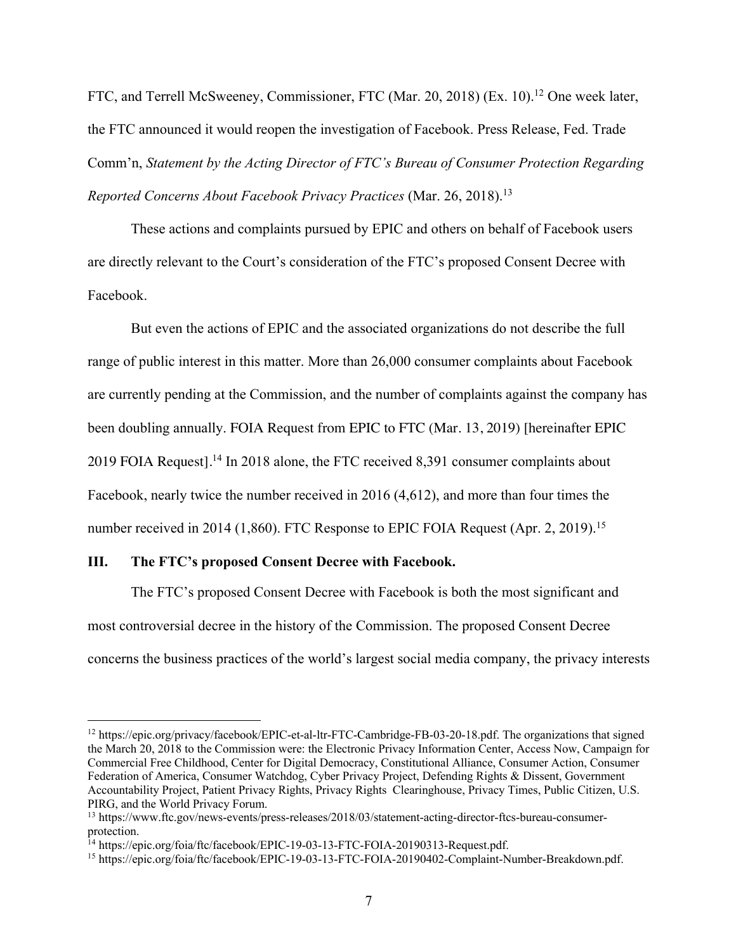FTC, and Terrell McSweeney, Commissioner, FTC (Mar. 20, 2018) (Ex. 10).<sup>12</sup> One week later, the FTC announced it would reopen the investigation of Facebook. Press Release, Fed. Trade Comm'n, *Statement by the Acting Director of FTC's Bureau of Consumer Protection Regarding Reported Concerns About Facebook Privacy Practices* (Mar. 26, 2018).13

These actions and complaints pursued by EPIC and others on behalf of Facebook users are directly relevant to the Court's consideration of the FTC's proposed Consent Decree with Facebook.

But even the actions of EPIC and the associated organizations do not describe the full range of public interest in this matter. More than 26,000 consumer complaints about Facebook are currently pending at the Commission, and the number of complaints against the company has been doubling annually. FOIA Request from EPIC to FTC (Mar. 13, 2019) [hereinafter EPIC 2019 FOIA Request]. <sup>14</sup> In 2018 alone, the FTC received 8,391 consumer complaints about Facebook, nearly twice the number received in 2016 (4,612), and more than four times the number received in 2014 (1,860). FTC Response to EPIC FOIA Request (Apr. 2, 2019).<sup>15</sup>

### **III. The FTC's proposed Consent Decree with Facebook.**

The FTC's proposed Consent Decree with Facebook is both the most significant and most controversial decree in the history of the Commission. The proposed Consent Decree concerns the business practices of the world's largest social media company, the privacy interests

<sup>&</sup>lt;sup>12</sup> https://epic.org/privacy/facebook/EPIC-et-al-ltr-FTC-Cambridge-FB-03-20-18.pdf. The organizations that signed the March 20, 2018 to the Commission were: the Electronic Privacy Information Center, Access Now, Campaign for Commercial Free Childhood, Center for Digital Democracy, Constitutional Alliance, Consumer Action, Consumer Federation of America, Consumer Watchdog, Cyber Privacy Project, Defending Rights & Dissent, Government Accountability Project, Patient Privacy Rights, Privacy Rights Clearinghouse, Privacy Times, Public Citizen, U.S. PIRG, and the World Privacy Forum.

<sup>13</sup> https://www.ftc.gov/news-events/press-releases/2018/03/statement-acting-director-ftcs-bureau-consumerprotection.<br><sup>14</sup> https://epic.org/foia/ftc/facebook/EPIC-19-03-13-FTC-FOIA-20190313-Request.pdf.

<sup>&</sup>lt;sup>15</sup> https://epic.org/foia/ftc/facebook/EPIC-19-03-13-FTC-FOIA-20190402-Complaint-Number-Breakdown.pdf.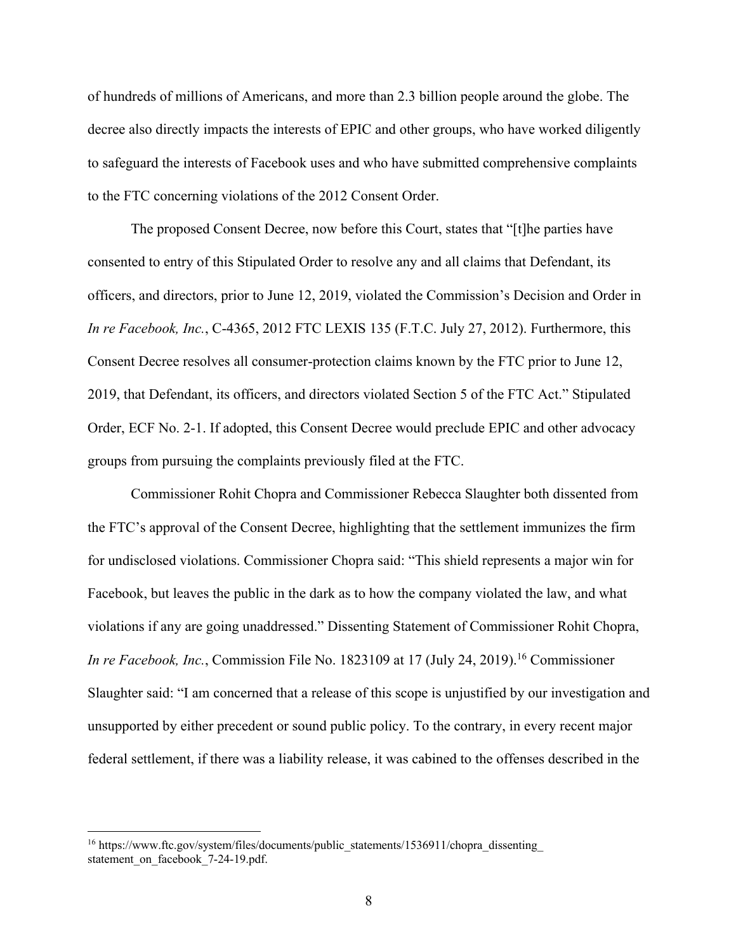of hundreds of millions of Americans, and more than 2.3 billion people around the globe. The decree also directly impacts the interests of EPIC and other groups, who have worked diligently to safeguard the interests of Facebook uses and who have submitted comprehensive complaints to the FTC concerning violations of the 2012 Consent Order.

The proposed Consent Decree, now before this Court, states that "[t]he parties have consented to entry of this Stipulated Order to resolve any and all claims that Defendant, its officers, and directors, prior to June 12, 2019, violated the Commission's Decision and Order in *In re Facebook, Inc.*, C-4365, 2012 FTC LEXIS 135 (F.T.C. July 27, 2012). Furthermore, this Consent Decree resolves all consumer-protection claims known by the FTC prior to June 12, 2019, that Defendant, its officers, and directors violated Section 5 of the FTC Act." Stipulated Order, ECF No. 2-1. If adopted, this Consent Decree would preclude EPIC and other advocacy groups from pursuing the complaints previously filed at the FTC.

Commissioner Rohit Chopra and Commissioner Rebecca Slaughter both dissented from the FTC's approval of the Consent Decree, highlighting that the settlement immunizes the firm for undisclosed violations. Commissioner Chopra said: "This shield represents a major win for Facebook, but leaves the public in the dark as to how the company violated the law, and what violations if any are going unaddressed." Dissenting Statement of Commissioner Rohit Chopra, *In re Facebook, Inc.*, Commission File No. 1823109 at 17 (July 24, 2019). <sup>16</sup> Commissioner Slaughter said: "I am concerned that a release of this scope is unjustified by our investigation and unsupported by either precedent or sound public policy. To the contrary, in every recent major federal settlement, if there was a liability release, it was cabined to the offenses described in the

<sup>&</sup>lt;sup>16</sup> https://www.ftc.gov/system/files/documents/public\_statements/1536911/chopra\_dissenting\_ statement on facebook 7-24-19.pdf.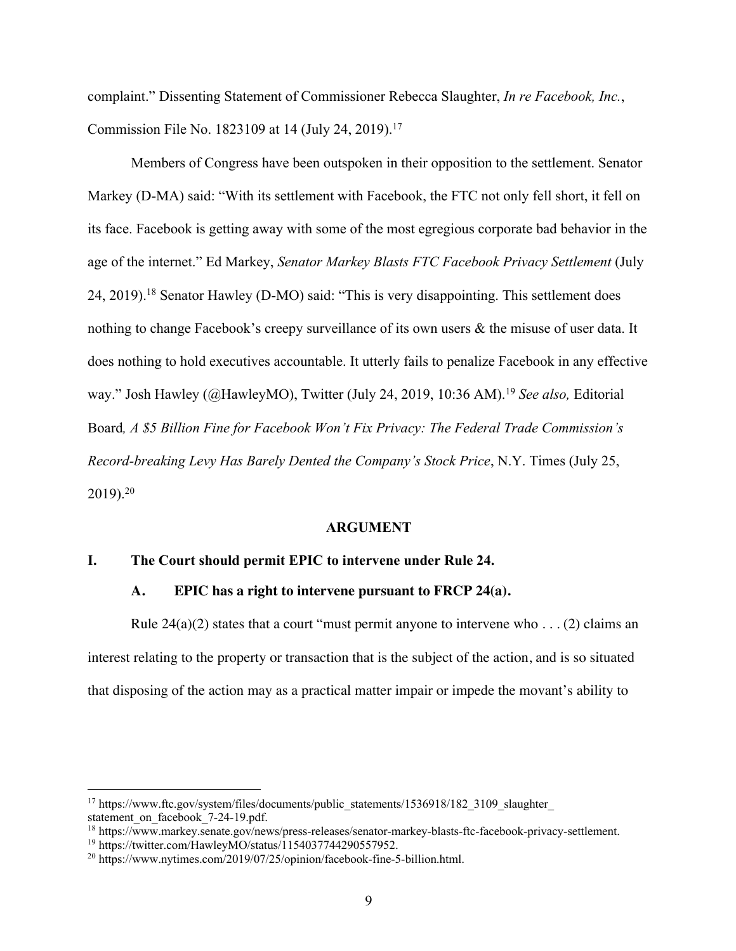complaint." Dissenting Statement of Commissioner Rebecca Slaughter, *In re Facebook, Inc.*, Commission File No. 1823109 at 14 (July 24, 2019). 17

Members of Congress have been outspoken in their opposition to the settlement. Senator Markey (D-MA) said: "With its settlement with Facebook, the FTC not only fell short, it fell on its face. Facebook is getting away with some of the most egregious corporate bad behavior in the age of the internet." Ed Markey, *Senator Markey Blasts FTC Facebook Privacy Settlement* (July 24, 2019).<sup>18</sup> Senator Hawley (D-MO) said: "This is very disappointing. This settlement does nothing to change Facebook's creepy surveillance of its own users & the misuse of user data. It does nothing to hold executives accountable. It utterly fails to penalize Facebook in any effective way." Josh Hawley (@HawleyMO), Twitter (July 24, 2019, 10:36 AM). <sup>19</sup> *See also,* Editorial Board*, A \$5 Billion Fine for Facebook Won't Fix Privacy: The Federal Trade Commission's Record-breaking Levy Has Barely Dented the Company's Stock Price*, N.Y. Times (July 25, 2019). 20

### **ARGUMENT**

#### **I. The Court should permit EPIC to intervene under Rule 24.**

### **A. EPIC has a right to intervene pursuant to FRCP 24(a).**

Rule  $24(a)(2)$  states that a court "must permit anyone to intervene who . . . (2) claims an interest relating to the property or transaction that is the subject of the action, and is so situated that disposing of the action may as a practical matter impair or impede the movant's ability to

<sup>&</sup>lt;sup>17</sup> https://www.ftc.gov/system/files/documents/public\_statements/1536918/182\_3109\_slaughter statement on facebook 7-24-19.pdf.

<sup>18</sup> https://www.markey.senate.gov/news/press-releases/senator-markey-blasts-ftc-facebook-privacy-settlement.

<sup>19</sup> https://twitter.com/HawleyMO/status/1154037744290557952.

<sup>&</sup>lt;sup>20</sup> https://www.nytimes.com/2019/07/25/opinion/facebook-fine-5-billion.html.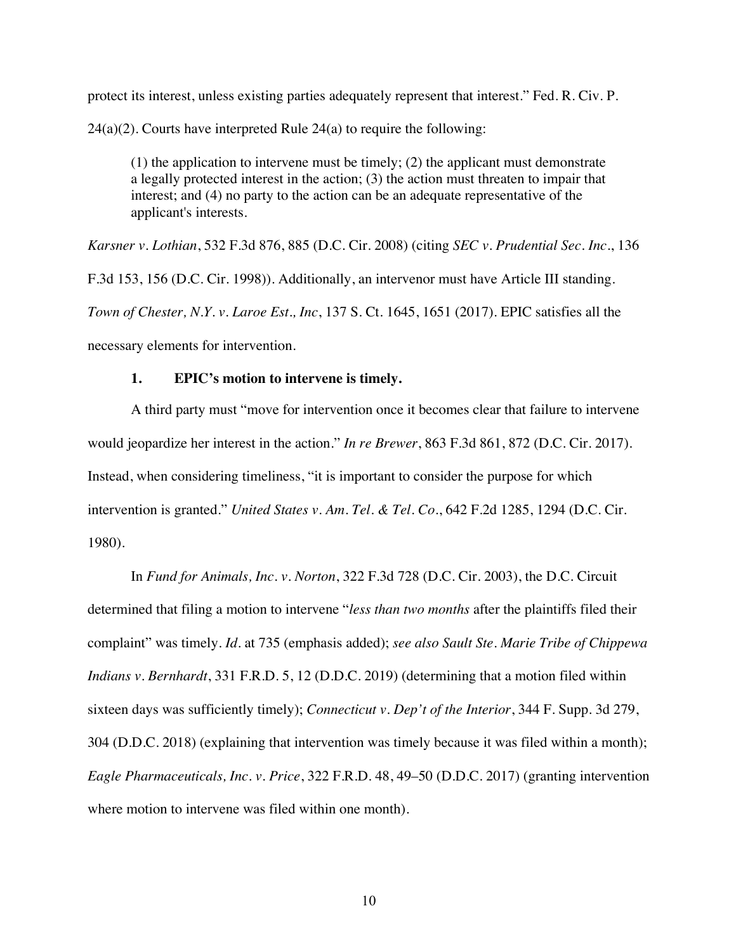protect its interest, unless existing parties adequately represent that interest." Fed. R. Civ. P.  $24(a)(2)$ . Courts have interpreted Rule  $24(a)$  to require the following:

(1) the application to intervene must be timely; (2) the applicant must demonstrate a legally protected interest in the action; (3) the action must threaten to impair that interest; and (4) no party to the action can be an adequate representative of the applicant's interests.

*Karsner v. Lothian*, 532 F.3d 876, 885 (D.C. Cir. 2008) (citing *SEC v. Prudential Sec. Inc.*, 136 F.3d 153, 156 (D.C. Cir. 1998)). Additionally, an intervenor must have Article III standing. *Town of Chester, N.Y. v. Laroe Est., Inc*, 137 S. Ct. 1645, 1651 (2017). EPIC satisfies all the necessary elements for intervention.

### **1. EPIC's motion to intervene is timely.**

A third party must "move for intervention once it becomes clear that failure to intervene would jeopardize her interest in the action." *In re Brewer*, 863 F.3d 861, 872 (D.C. Cir. 2017). Instead, when considering timeliness, "it is important to consider the purpose for which intervention is granted." *United States v. Am. Tel. & Tel. Co.*, 642 F.2d 1285, 1294 (D.C. Cir. 1980).

In *Fund for Animals, Inc. v. Norton*, 322 F.3d 728 (D.C. Cir. 2003), the D.C. Circuit determined that filing a motion to intervene "*less than two months* after the plaintiffs filed their complaint" was timely. *Id.* at 735 (emphasis added); *see also Sault Ste. Marie Tribe of Chippewa Indians v. Bernhardt*, 331 F.R.D. 5, 12 (D.D.C. 2019) (determining that a motion filed within sixteen days was sufficiently timely); *Connecticut v. Dep't of the Interior*, 344 F. Supp. 3d 279, 304 (D.D.C. 2018) (explaining that intervention was timely because it was filed within a month); *Eagle Pharmaceuticals, Inc. v. Price*, 322 F.R.D. 48, 49–50 (D.D.C. 2017) (granting intervention where motion to intervene was filed within one month).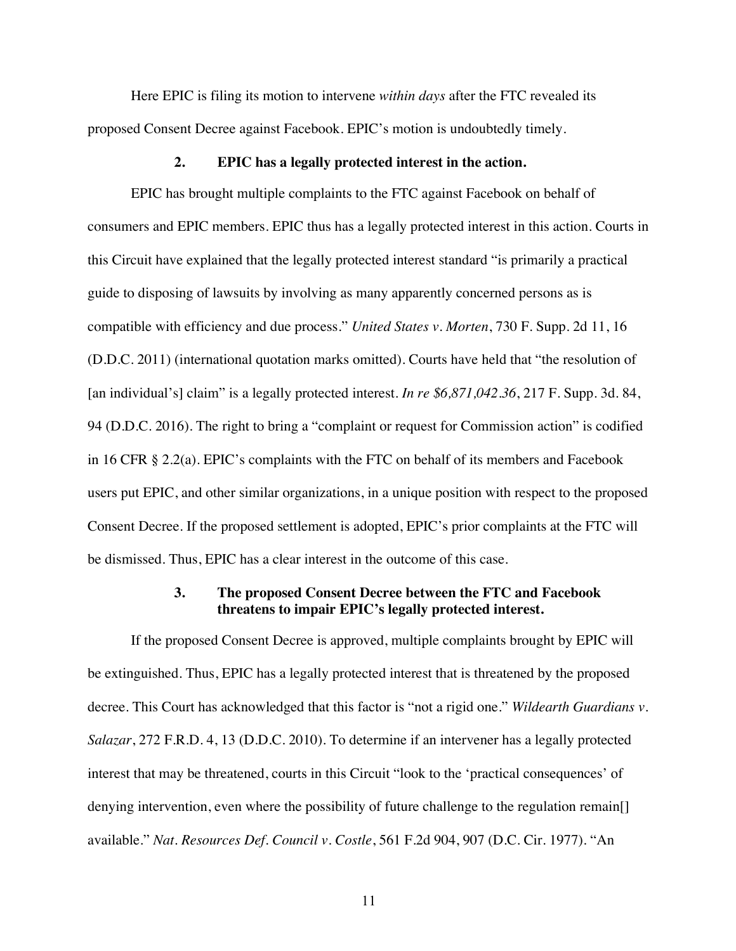Here EPIC is filing its motion to intervene *within days* after the FTC revealed its proposed Consent Decree against Facebook. EPIC's motion is undoubtedly timely.

### **2. EPIC has a legally protected interest in the action.**

EPIC has brought multiple complaints to the FTC against Facebook on behalf of consumers and EPIC members. EPIC thus has a legally protected interest in this action. Courts in this Circuit have explained that the legally protected interest standard "is primarily a practical guide to disposing of lawsuits by involving as many apparently concerned persons as is compatible with efficiency and due process." *United States v. Morten*, 730 F. Supp. 2d 11, 16 (D.D.C. 2011) (international quotation marks omitted). Courts have held that "the resolution of [an individual's] claim" is a legally protected interest. *In re \$6,871,042.36*, 217 F. Supp. 3d. 84, 94 (D.D.C. 2016). The right to bring a "complaint or request for Commission action" is codified in 16 CFR § 2.2(a). EPIC's complaints with the FTC on behalf of its members and Facebook users put EPIC, and other similar organizations, in a unique position with respect to the proposed Consent Decree. If the proposed settlement is adopted, EPIC's prior complaints at the FTC will be dismissed. Thus, EPIC has a clear interest in the outcome of this case.

### **3. The proposed Consent Decree between the FTC and Facebook threatens to impair EPIC's legally protected interest.**

If the proposed Consent Decree is approved, multiple complaints brought by EPIC will be extinguished. Thus, EPIC has a legally protected interest that is threatened by the proposed decree. This Court has acknowledged that this factor is "not a rigid one." *Wildearth Guardians v. Salazar*, 272 F.R.D. 4, 13 (D.D.C. 2010). To determine if an intervener has a legally protected interest that may be threatened, courts in this Circuit "look to the 'practical consequences' of denying intervention, even where the possibility of future challenge to the regulation remain[] available." *Nat. Resources Def. Council v. Costle*, 561 F.2d 904, 907 (D.C. Cir. 1977). "An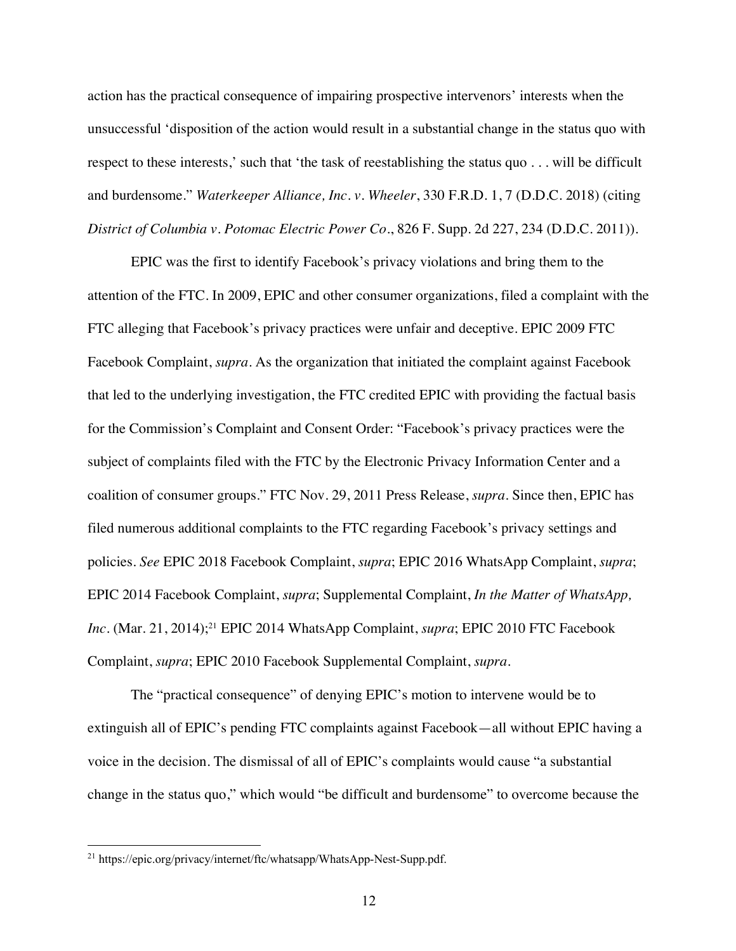action has the practical consequence of impairing prospective intervenors' interests when the unsuccessful 'disposition of the action would result in a substantial change in the status quo with respect to these interests,' such that 'the task of reestablishing the status quo . . . will be difficult and burdensome." *Waterkeeper Alliance, Inc. v. Wheeler*, 330 F.R.D. 1, 7 (D.D.C. 2018) (citing *District of Columbia v. Potomac Electric Power Co.*, 826 F. Supp. 2d 227, 234 (D.D.C. 2011)).

EPIC was the first to identify Facebook's privacy violations and bring them to the attention of the FTC. In 2009, EPIC and other consumer organizations, filed a complaint with the FTC alleging that Facebook's privacy practices were unfair and deceptive. EPIC 2009 FTC Facebook Complaint, *supra*. As the organization that initiated the complaint against Facebook that led to the underlying investigation, the FTC credited EPIC with providing the factual basis for the Commission's Complaint and Consent Order: "Facebook's privacy practices were the subject of complaints filed with the FTC by the Electronic Privacy Information Center and a coalition of consumer groups." FTC Nov. 29, 2011 Press Release, *supra*. Since then, EPIC has filed numerous additional complaints to the FTC regarding Facebook's privacy settings and policies. *See* EPIC 2018 Facebook Complaint, *supra*; EPIC 2016 WhatsApp Complaint, *supra*; EPIC 2014 Facebook Complaint, *supra*; Supplemental Complaint, *In the Matter of WhatsApp, Inc.* (Mar. 21, 2014);<sup>21</sup> EPIC 2014 WhatsApp Complaint, *supra*; EPIC 2010 FTC Facebook Complaint, *supra*; EPIC 2010 Facebook Supplemental Complaint, *supra*.

The "practical consequence" of denying EPIC's motion to intervene would be to extinguish all of EPIC's pending FTC complaints against Facebook—all without EPIC having a voice in the decision. The dismissal of all of EPIC's complaints would cause "a substantial change in the status quo," which would "be difficult and burdensome" to overcome because the

<sup>&</sup>lt;sup>21</sup> https://epic.org/privacy/internet/ftc/whatsapp/WhatsApp-Nest-Supp.pdf.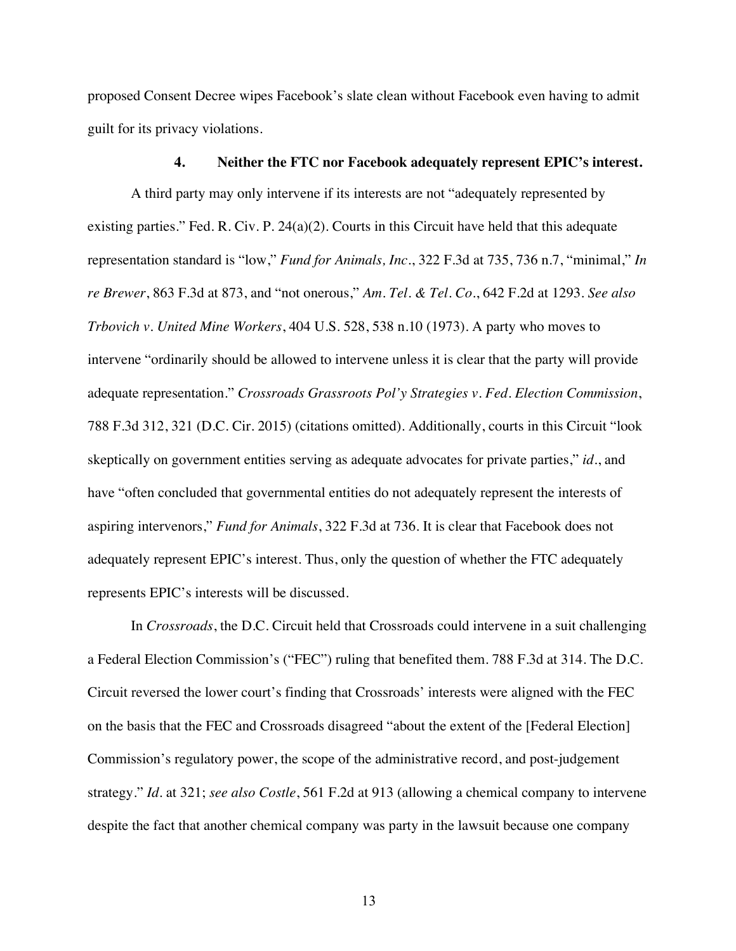proposed Consent Decree wipes Facebook's slate clean without Facebook even having to admit guilt for its privacy violations.

#### **4. Neither the FTC nor Facebook adequately represent EPIC's interest.**

A third party may only intervene if its interests are not "adequately represented by existing parties." Fed. R. Civ. P. 24(a)(2). Courts in this Circuit have held that this adequate representation standard is "low," *Fund for Animals, Inc.*, 322 F.3d at 735, 736 n.7, "minimal," *In re Brewer*, 863 F.3d at 873, and "not onerous," *Am. Tel. & Tel. Co*., 642 F.2d at 1293. *See also Trbovich v. United Mine Workers*, 404 U.S. 528, 538 n.10 (1973). A party who moves to intervene "ordinarily should be allowed to intervene unless it is clear that the party will provide adequate representation." *Crossroads Grassroots Pol'y Strategies v. Fed. Election Commission*, 788 F.3d 312, 321 (D.C. Cir. 2015) (citations omitted). Additionally, courts in this Circuit "look skeptically on government entities serving as adequate advocates for private parties," *id.*, and have "often concluded that governmental entities do not adequately represent the interests of aspiring intervenors," *Fund for Animals*, 322 F.3d at 736. It is clear that Facebook does not adequately represent EPIC's interest. Thus, only the question of whether the FTC adequately represents EPIC's interests will be discussed.

In *Crossroads*, the D.C. Circuit held that Crossroads could intervene in a suit challenging a Federal Election Commission's ("FEC") ruling that benefited them. 788 F.3d at 314. The D.C. Circuit reversed the lower court's finding that Crossroads' interests were aligned with the FEC on the basis that the FEC and Crossroads disagreed "about the extent of the [Federal Election] Commission's regulatory power, the scope of the administrative record, and post-judgement strategy." *Id.* at 321; *see also Costle*, 561 F.2d at 913 (allowing a chemical company to intervene despite the fact that another chemical company was party in the lawsuit because one company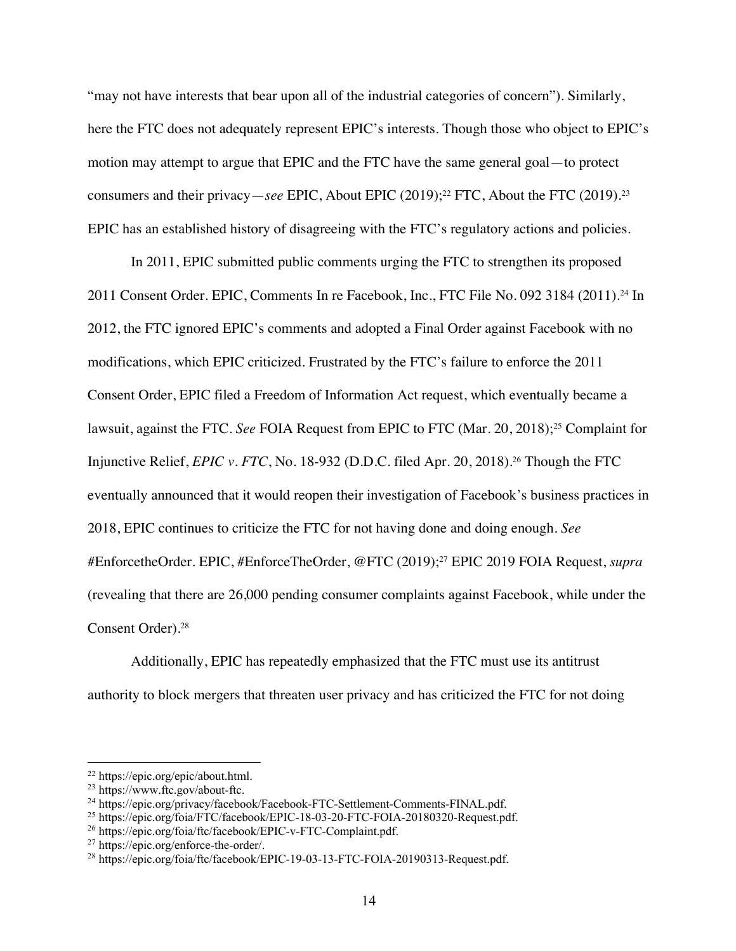"may not have interests that bear upon all of the industrial categories of concern"). Similarly, here the FTC does not adequately represent EPIC's interests. Though those who object to EPIC's motion may attempt to argue that EPIC and the FTC have the same general goal—to protect consumers and their privacy—*see* EPIC, About EPIC (2019);22 FTC, About the FTC (2019). 23 EPIC has an established history of disagreeing with the FTC's regulatory actions and policies.

In 2011, EPIC submitted public comments urging the FTC to strengthen its proposed 2011 Consent Order. EPIC, Comments In re Facebook, Inc., FTC File No. 092 3184 (2011).24 In 2012, the FTC ignored EPIC's comments and adopted a Final Order against Facebook with no modifications, which EPIC criticized. Frustrated by the FTC's failure to enforce the 2011 Consent Order, EPIC filed a Freedom of Information Act request, which eventually became a lawsuit, against the FTC. *See* FOIA Request from EPIC to FTC (Mar. 20, 2018);<sup>25</sup> Complaint for Injunctive Relief, *EPIC v. FTC*, No. 18-932 (D.D.C. filed Apr. 20, 2018).26 Though the FTC eventually announced that it would reopen their investigation of Facebook's business practices in 2018, EPIC continues to criticize the FTC for not having done and doing enough. *See* #EnforcetheOrder. EPIC, #EnforceTheOrder, @FTC (2019);27 EPIC 2019 FOIA Request, *supra* (revealing that there are 26,000 pending consumer complaints against Facebook, while under the Consent Order).28

Additionally, EPIC has repeatedly emphasized that the FTC must use its antitrust authority to block mergers that threaten user privacy and has criticized the FTC for not doing

<sup>22</sup> https://epic.org/epic/about.html.

<sup>23</sup> https://www.ftc.gov/about-ftc.

<sup>&</sup>lt;sup>24</sup> https://epic.org/privacy/facebook/Facebook-FTC-Settlement-Comments-FINAL.pdf.

<sup>25</sup> https://epic.org/foia/FTC/facebook/EPIC-18-03-20-FTC-FOIA-20180320-Request.pdf.

<sup>&</sup>lt;sup>26</sup> https://epic.org/foia/ftc/facebook/EPIC-v-FTC-Complaint.pdf.<br><sup>27</sup> https://epic.org/enforce-the-order/.

<sup>&</sup>lt;sup>28</sup> https://epic.org/foia/ftc/facebook/EPIC-19-03-13-FTC-FOIA-20190313-Request.pdf.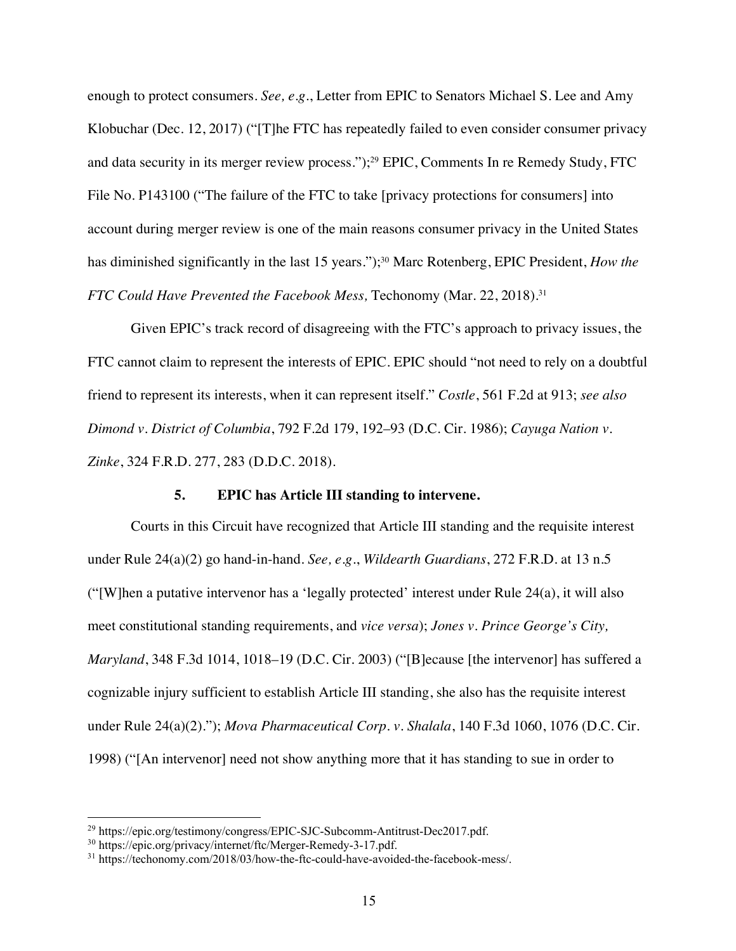enough to protect consumers. *See, e.g.*, Letter from EPIC to Senators Michael S. Lee and Amy Klobuchar (Dec. 12, 2017) ("[T]he FTC has repeatedly failed to even consider consumer privacy and data security in its merger review process.");29 EPIC, Comments In re Remedy Study, FTC File No. P143100 ("The failure of the FTC to take [privacy protections for consumers] into account during merger review is one of the main reasons consumer privacy in the United States has diminished significantly in the last 15 years."); <sup>30</sup> Marc Rotenberg, EPIC President, *How the FTC Could Have Prevented the Facebook Mess,* Techonomy (Mar. 22, 2018).31

Given EPIC's track record of disagreeing with the FTC's approach to privacy issues, the FTC cannot claim to represent the interests of EPIC. EPIC should "not need to rely on a doubtful friend to represent its interests, when it can represent itself." *Costle*, 561 F.2d at 913; *see also Dimond v. District of Columbia*, 792 F.2d 179, 192–93 (D.C. Cir. 1986); *Cayuga Nation v. Zinke*, 324 F.R.D. 277, 283 (D.D.C. 2018).

### **5. EPIC has Article III standing to intervene.**

Courts in this Circuit have recognized that Article III standing and the requisite interest under Rule 24(a)(2) go hand-in-hand. *See, e.g.*, *Wildearth Guardians*, 272 F.R.D. at 13 n.5 ("[W]hen a putative intervenor has a 'legally protected' interest under Rule 24(a), it will also meet constitutional standing requirements, and *vice versa*); *Jones v. Prince George's City, Maryland*, 348 F.3d 1014, 1018–19 (D.C. Cir. 2003) ("[B]ecause [the intervenor] has suffered a cognizable injury sufficient to establish Article III standing, she also has the requisite interest under Rule 24(a)(2)."); *Mova Pharmaceutical Corp. v. Shalala*, 140 F.3d 1060, 1076 (D.C. Cir. 1998) ("[An intervenor] need not show anything more that it has standing to sue in order to

<sup>29</sup> https://epic.org/testimony/congress/EPIC-SJC-Subcomm-Antitrust-Dec2017.pdf.

<sup>30</sup> https://epic.org/privacy/internet/ftc/Merger-Remedy-3-17.pdf.

<sup>31</sup> https://techonomy.com/2018/03/how-the-ftc-could-have-avoided-the-facebook-mess/.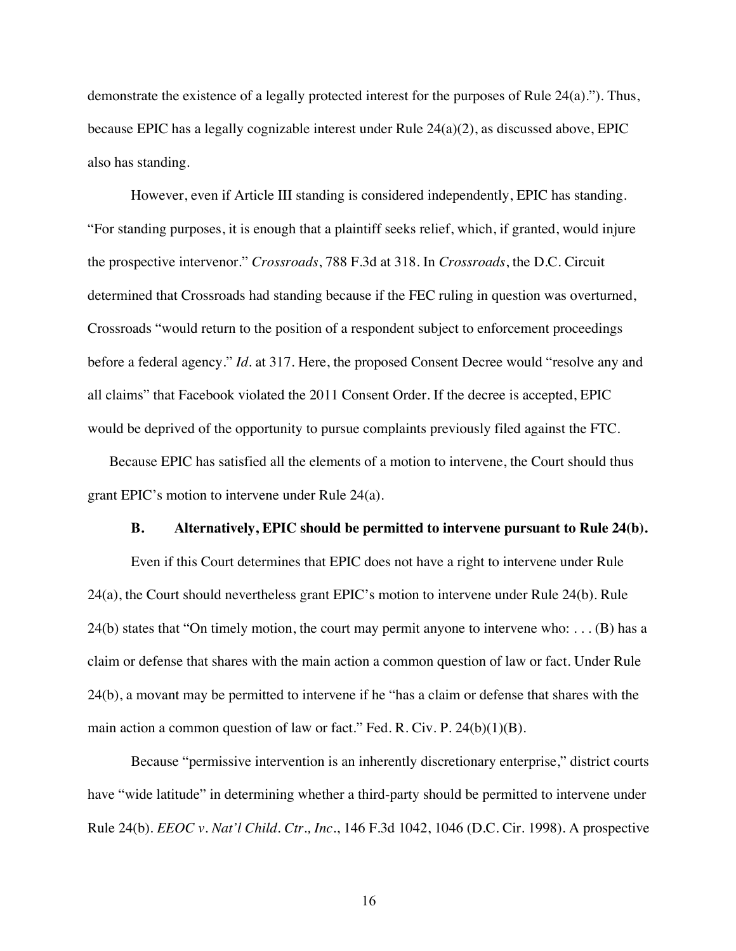demonstrate the existence of a legally protected interest for the purposes of Rule 24(a)."). Thus, because EPIC has a legally cognizable interest under Rule 24(a)(2), as discussed above, EPIC also has standing.

However, even if Article III standing is considered independently, EPIC has standing. "For standing purposes, it is enough that a plaintiff seeks relief, which, if granted, would injure the prospective intervenor." *Crossroads*, 788 F.3d at 318. In *Crossroads*, the D.C. Circuit determined that Crossroads had standing because if the FEC ruling in question was overturned, Crossroads "would return to the position of a respondent subject to enforcement proceedings before a federal agency." *Id.* at 317. Here, the proposed Consent Decree would "resolve any and all claims" that Facebook violated the 2011 Consent Order. If the decree is accepted, EPIC would be deprived of the opportunity to pursue complaints previously filed against the FTC.

Because EPIC has satisfied all the elements of a motion to intervene, the Court should thus grant EPIC's motion to intervene under Rule 24(a).

### **B. Alternatively, EPIC should be permitted to intervene pursuant to Rule 24(b).**

Even if this Court determines that EPIC does not have a right to intervene under Rule 24(a), the Court should nevertheless grant EPIC's motion to intervene under Rule 24(b). Rule 24(b) states that "On timely motion, the court may permit anyone to intervene who: . . . (B) has a claim or defense that shares with the main action a common question of law or fact. Under Rule 24(b), a movant may be permitted to intervene if he "has a claim or defense that shares with the main action a common question of law or fact." Fed. R. Civ. P.  $24(b)(1)(B)$ .

Because "permissive intervention is an inherently discretionary enterprise," district courts have "wide latitude" in determining whether a third-party should be permitted to intervene under Rule 24(b). *EEOC v. Nat'l Child. Ctr., Inc.*, 146 F.3d 1042, 1046 (D.C. Cir. 1998). A prospective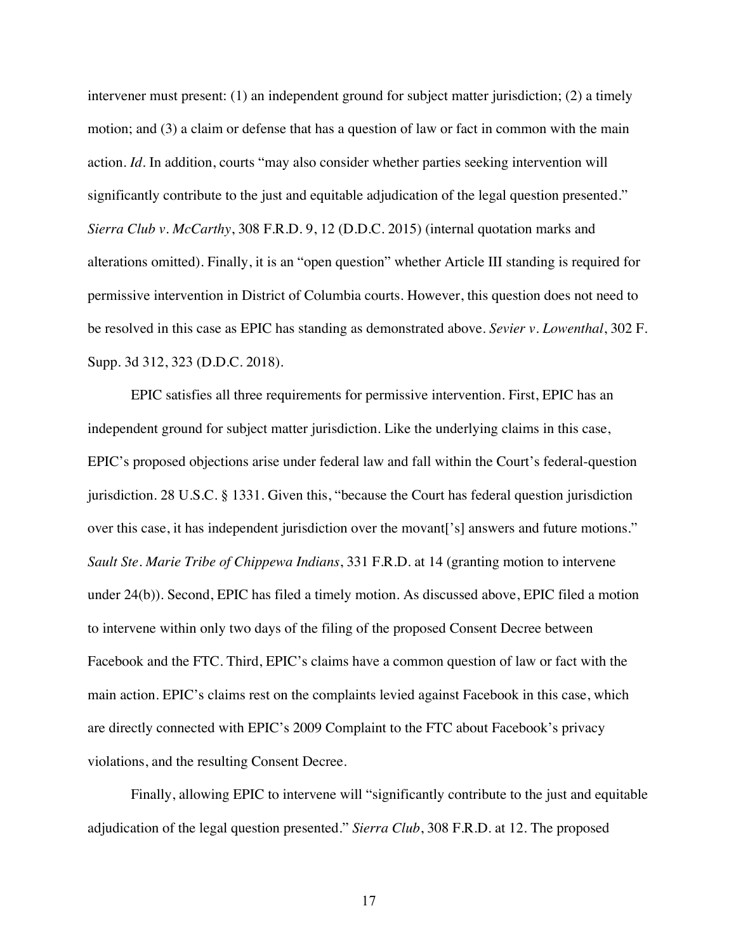intervener must present: (1) an independent ground for subject matter jurisdiction; (2) a timely motion; and (3) a claim or defense that has a question of law or fact in common with the main action. *Id.* In addition, courts "may also consider whether parties seeking intervention will significantly contribute to the just and equitable adjudication of the legal question presented." *Sierra Club v. McCarthy*, 308 F.R.D. 9, 12 (D.D.C. 2015) (internal quotation marks and alterations omitted). Finally, it is an "open question" whether Article III standing is required for permissive intervention in District of Columbia courts. However, this question does not need to be resolved in this case as EPIC has standing as demonstrated above. *Sevier v. Lowenthal*, 302 F. Supp. 3d 312, 323 (D.D.C. 2018).

EPIC satisfies all three requirements for permissive intervention. First, EPIC has an independent ground for subject matter jurisdiction. Like the underlying claims in this case, EPIC's proposed objections arise under federal law and fall within the Court's federal-question jurisdiction. 28 U.S.C. § 1331. Given this, "because the Court has federal question jurisdiction over this case, it has independent jurisdiction over the movant['s] answers and future motions." *Sault Ste. Marie Tribe of Chippewa Indians*, 331 F.R.D. at 14 (granting motion to intervene under 24(b)). Second, EPIC has filed a timely motion. As discussed above, EPIC filed a motion to intervene within only two days of the filing of the proposed Consent Decree between Facebook and the FTC. Third, EPIC's claims have a common question of law or fact with the main action. EPIC's claims rest on the complaints levied against Facebook in this case, which are directly connected with EPIC's 2009 Complaint to the FTC about Facebook's privacy violations, and the resulting Consent Decree.

Finally, allowing EPIC to intervene will "significantly contribute to the just and equitable adjudication of the legal question presented." *Sierra Club*, 308 F.R.D. at 12. The proposed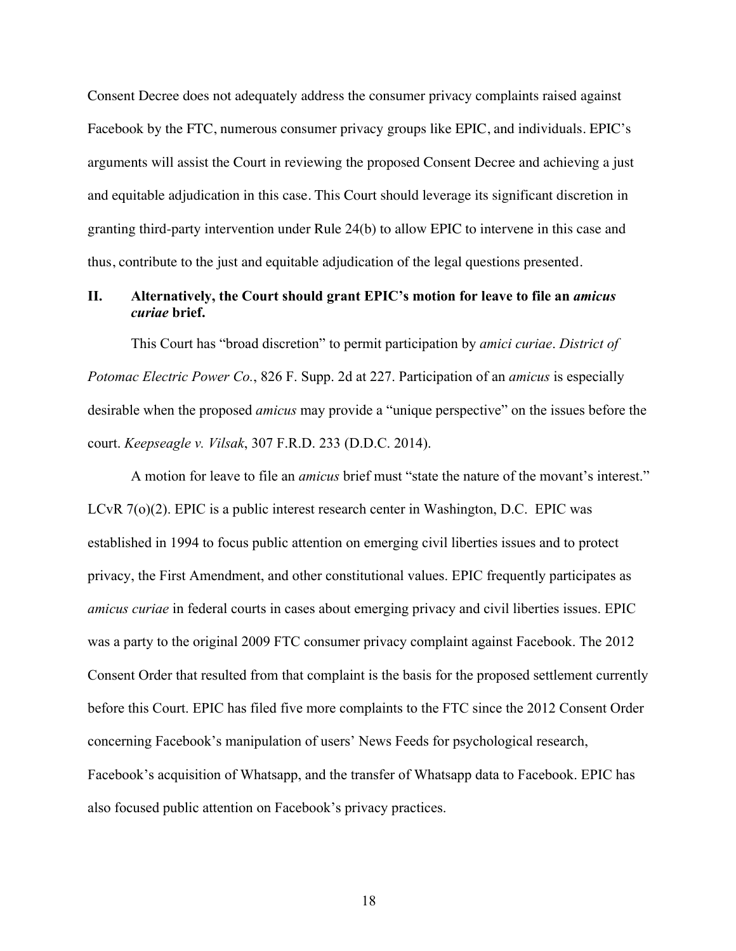Consent Decree does not adequately address the consumer privacy complaints raised against Facebook by the FTC, numerous consumer privacy groups like EPIC, and individuals. EPIC's arguments will assist the Court in reviewing the proposed Consent Decree and achieving a just and equitable adjudication in this case. This Court should leverage its significant discretion in granting third-party intervention under Rule 24(b) to allow EPIC to intervene in this case and thus, contribute to the just and equitable adjudication of the legal questions presented.

### **II. Alternatively, the Court should grant EPIC's motion for leave to file an** *amicus curiae* **brief.**

This Court has "broad discretion" to permit participation by *amici curiae*. *District of Potomac Electric Power Co.*, 826 F. Supp. 2d at 227. Participation of an *amicus* is especially desirable when the proposed *amicus* may provide a "unique perspective" on the issues before the court. *Keepseagle v. Vilsak*, 307 F.R.D. 233 (D.D.C. 2014).

A motion for leave to file an *amicus* brief must "state the nature of the movant's interest." LCvR 7(o)(2). EPIC is a public interest research center in Washington, D.C. EPIC was established in 1994 to focus public attention on emerging civil liberties issues and to protect privacy, the First Amendment, and other constitutional values. EPIC frequently participates as *amicus curiae* in federal courts in cases about emerging privacy and civil liberties issues. EPIC was a party to the original 2009 FTC consumer privacy complaint against Facebook. The 2012 Consent Order that resulted from that complaint is the basis for the proposed settlement currently before this Court. EPIC has filed five more complaints to the FTC since the 2012 Consent Order concerning Facebook's manipulation of users' News Feeds for psychological research, Facebook's acquisition of Whatsapp, and the transfer of Whatsapp data to Facebook. EPIC has also focused public attention on Facebook's privacy practices.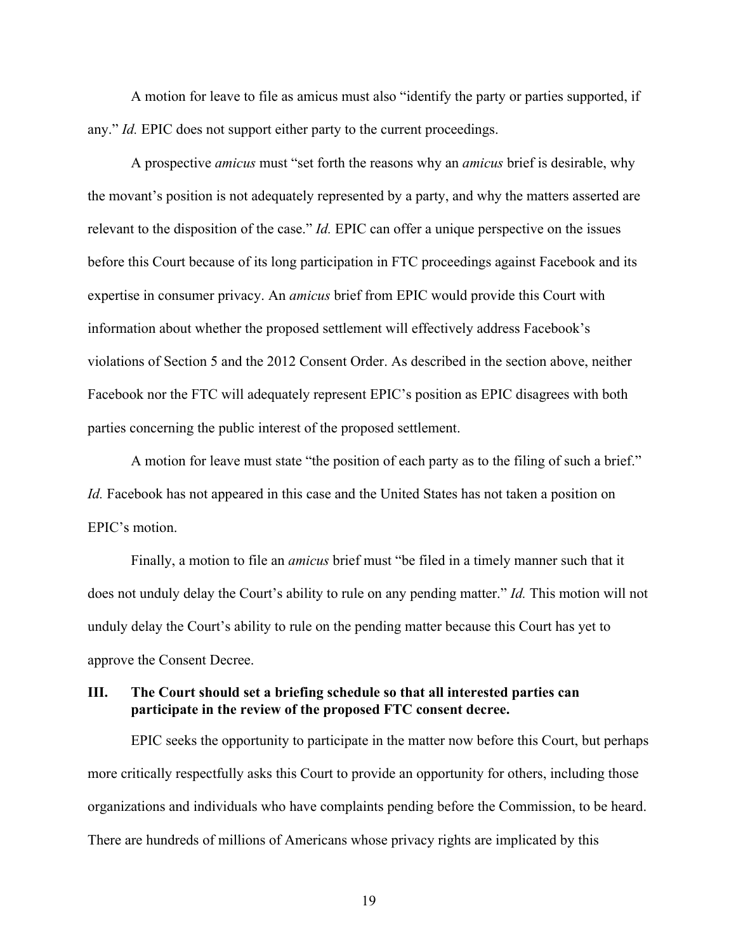A motion for leave to file as amicus must also "identify the party or parties supported, if any." *Id.* EPIC does not support either party to the current proceedings.

A prospective *amicus* must "set forth the reasons why an *amicus* brief is desirable, why the movant's position is not adequately represented by a party, and why the matters asserted are relevant to the disposition of the case." *Id.* EPIC can offer a unique perspective on the issues before this Court because of its long participation in FTC proceedings against Facebook and its expertise in consumer privacy. An *amicus* brief from EPIC would provide this Court with information about whether the proposed settlement will effectively address Facebook's violations of Section 5 and the 2012 Consent Order. As described in the section above, neither Facebook nor the FTC will adequately represent EPIC's position as EPIC disagrees with both parties concerning the public interest of the proposed settlement.

A motion for leave must state "the position of each party as to the filing of such a brief." *Id.* Facebook has not appeared in this case and the United States has not taken a position on EPIC's motion.

Finally, a motion to file an *amicus* brief must "be filed in a timely manner such that it does not unduly delay the Court's ability to rule on any pending matter." *Id.* This motion will not unduly delay the Court's ability to rule on the pending matter because this Court has yet to approve the Consent Decree.

# **III. The Court should set a briefing schedule so that all interested parties can participate in the review of the proposed FTC consent decree.**

EPIC seeks the opportunity to participate in the matter now before this Court, but perhaps more critically respectfully asks this Court to provide an opportunity for others, including those organizations and individuals who have complaints pending before the Commission, to be heard. There are hundreds of millions of Americans whose privacy rights are implicated by this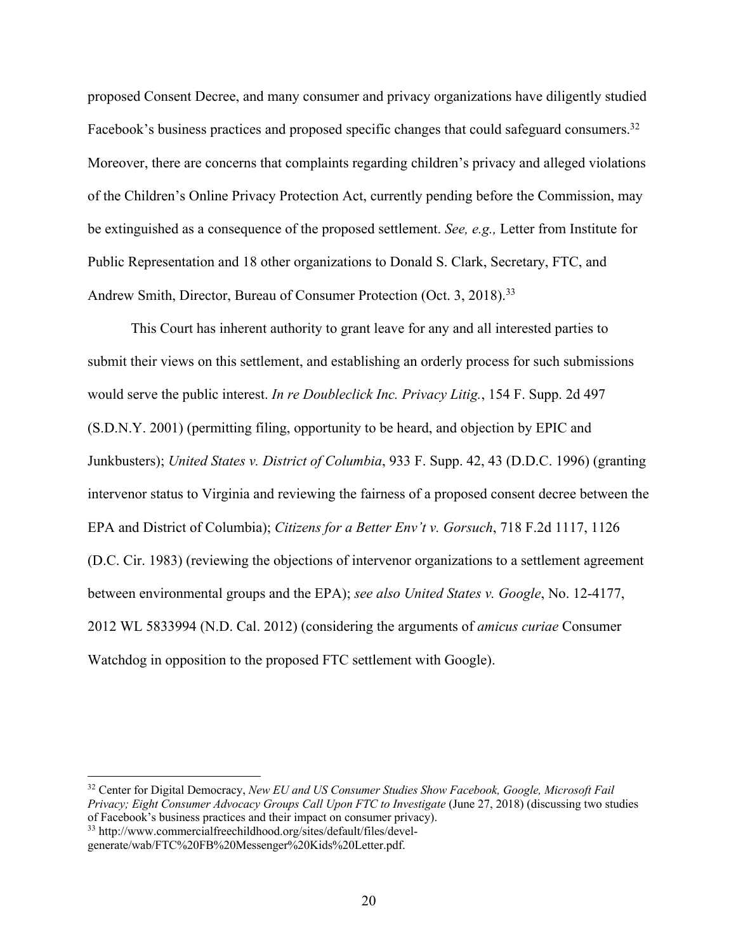proposed Consent Decree, and many consumer and privacy organizations have diligently studied Facebook's business practices and proposed specific changes that could safeguard consumers.<sup>32</sup> Moreover, there are concerns that complaints regarding children's privacy and alleged violations of the Children's Online Privacy Protection Act, currently pending before the Commission, may be extinguished as a consequence of the proposed settlement. *See, e.g.,* Letter from Institute for Public Representation and 18 other organizations to Donald S. Clark, Secretary, FTC, and Andrew Smith, Director, Bureau of Consumer Protection (Oct. 3, 2018).<sup>33</sup>

This Court has inherent authority to grant leave for any and all interested parties to submit their views on this settlement, and establishing an orderly process for such submissions would serve the public interest. *In re Doubleclick Inc. Privacy Litig.*, 154 F. Supp. 2d 497 (S.D.N.Y. 2001) (permitting filing, opportunity to be heard, and objection by EPIC and Junkbusters); *United States v. District of Columbia*, 933 F. Supp. 42, 43 (D.D.C. 1996) (granting intervenor status to Virginia and reviewing the fairness of a proposed consent decree between the EPA and District of Columbia); *Citizens for a Better Env't v. Gorsuch*, 718 F.2d 1117, 1126 (D.C. Cir. 1983) (reviewing the objections of intervenor organizations to a settlement agreement between environmental groups and the EPA); *see also United States v. Google*, No. 12-4177, 2012 WL 5833994 (N.D. Cal. 2012) (considering the arguments of *amicus curiae* Consumer Watchdog in opposition to the proposed FTC settlement with Google).

<sup>32</sup> Center for Digital Democracy, *New EU and US Consumer Studies Show Facebook, Google, Microsoft Fail Privacy; Eight Consumer Advocacy Groups Call Upon FTC to Investigate* (June 27, 2018) (discussing two studies of Facebook's business practices and their impact on consumer privacy).

<sup>33</sup> http://www.commercialfreechildhood.org/sites/default/files/devel-

generate/wab/FTC%20FB%20Messenger%20Kids%20Letter.pdf.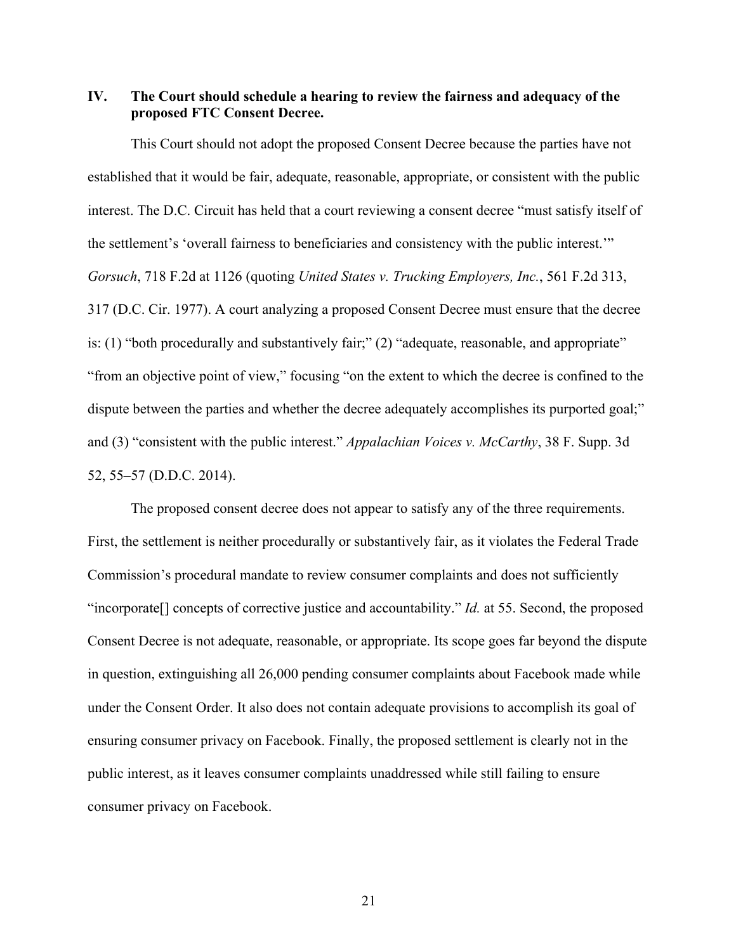# **IV. The Court should schedule a hearing to review the fairness and adequacy of the proposed FTC Consent Decree.**

This Court should not adopt the proposed Consent Decree because the parties have not established that it would be fair, adequate, reasonable, appropriate, or consistent with the public interest. The D.C. Circuit has held that a court reviewing a consent decree "must satisfy itself of the settlement's 'overall fairness to beneficiaries and consistency with the public interest.'" *Gorsuch*, 718 F.2d at 1126 (quoting *United States v. Trucking Employers, Inc.*, 561 F.2d 313, 317 (D.C. Cir. 1977). A court analyzing a proposed Consent Decree must ensure that the decree is: (1) "both procedurally and substantively fair;" (2) "adequate, reasonable, and appropriate" "from an objective point of view," focusing "on the extent to which the decree is confined to the dispute between the parties and whether the decree adequately accomplishes its purported goal;" and (3) "consistent with the public interest." *Appalachian Voices v. McCarthy*, 38 F. Supp. 3d 52, 55–57 (D.D.C. 2014).

The proposed consent decree does not appear to satisfy any of the three requirements. First, the settlement is neither procedurally or substantively fair, as it violates the Federal Trade Commission's procedural mandate to review consumer complaints and does not sufficiently "incorporate[] concepts of corrective justice and accountability." *Id.* at 55. Second, the proposed Consent Decree is not adequate, reasonable, or appropriate. Its scope goes far beyond the dispute in question, extinguishing all 26,000 pending consumer complaints about Facebook made while under the Consent Order. It also does not contain adequate provisions to accomplish its goal of ensuring consumer privacy on Facebook. Finally, the proposed settlement is clearly not in the public interest, as it leaves consumer complaints unaddressed while still failing to ensure consumer privacy on Facebook.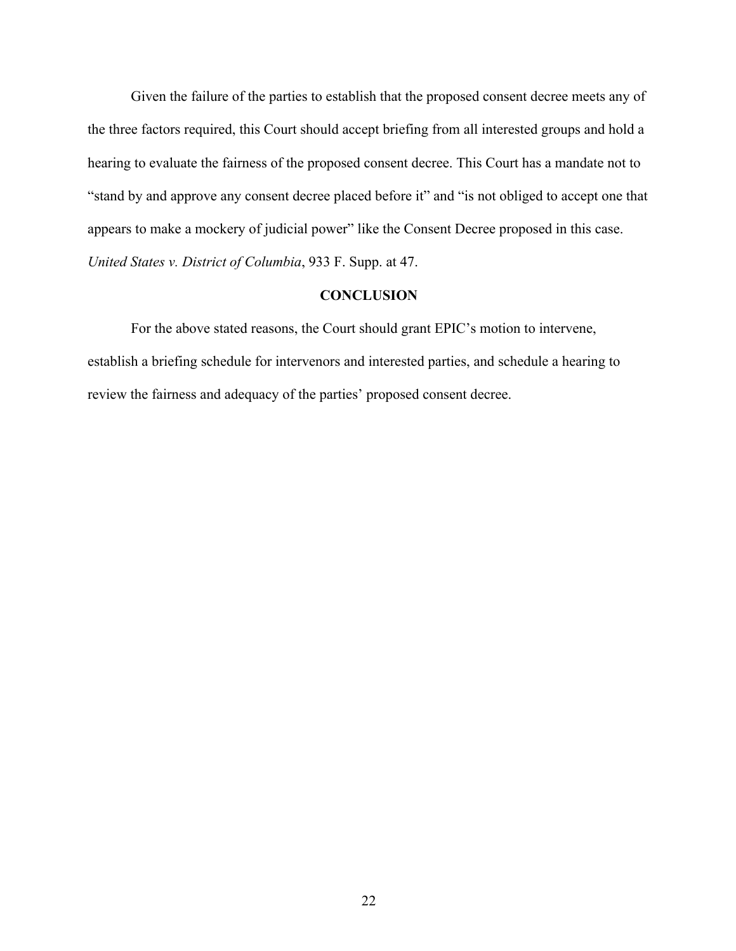Given the failure of the parties to establish that the proposed consent decree meets any of the three factors required, this Court should accept briefing from all interested groups and hold a hearing to evaluate the fairness of the proposed consent decree. This Court has a mandate not to "stand by and approve any consent decree placed before it" and "is not obliged to accept one that appears to make a mockery of judicial power" like the Consent Decree proposed in this case. *United States v. District of Columbia*, 933 F. Supp. at 47.

### **CONCLUSION**

For the above stated reasons, the Court should grant EPIC's motion to intervene, establish a briefing schedule for intervenors and interested parties, and schedule a hearing to review the fairness and adequacy of the parties' proposed consent decree.